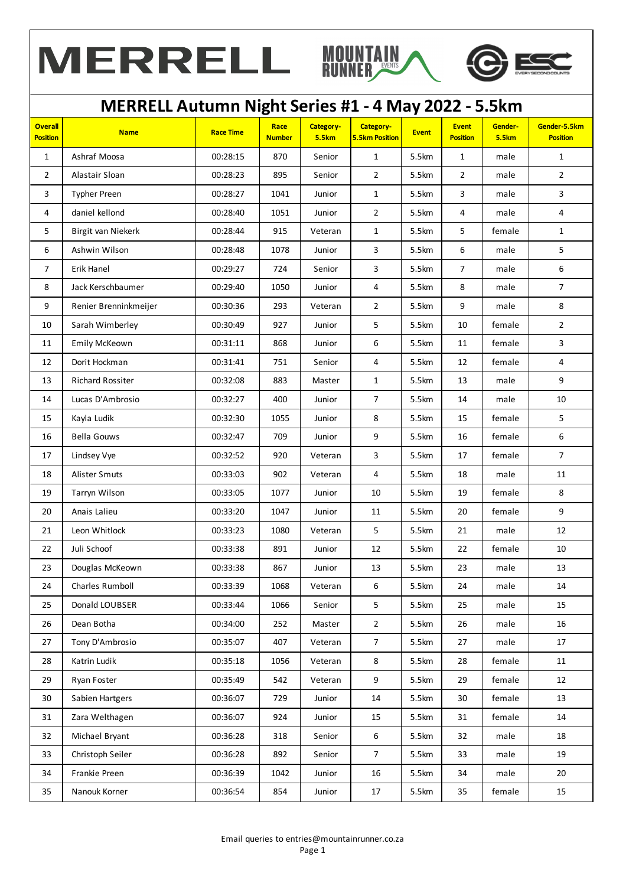





| <b>Overall</b><br><b>Position</b> | <b>Name</b>           | <b>Race Time</b> | Race<br><b>Number</b> | Category-<br><b>5.5km</b> | Category-<br><b>5.5km Position</b> | <b>Event</b> | <b>Event</b><br><b>Position</b> | Gender-<br><b>5.5km</b> | Gender-5.5km<br><b>Position</b> |
|-----------------------------------|-----------------------|------------------|-----------------------|---------------------------|------------------------------------|--------------|---------------------------------|-------------------------|---------------------------------|
| $\mathbf{1}$                      | Ashraf Moosa          | 00:28:15         | 870                   | Senior                    | $\mathbf{1}$                       | 5.5km        | $\mathbf{1}$                    | male                    | $\mathbf{1}$                    |
| $\overline{2}$                    | Alastair Sloan        | 00:28:23         | 895                   | Senior                    | $\overline{2}$                     | 5.5km        | $\overline{2}$                  | male                    | $\overline{2}$                  |
| 3                                 | <b>Typher Preen</b>   | 00:28:27         | 1041                  | Junior                    | $\mathbf{1}$                       | 5.5km        | 3                               | male                    | $\mathbf{3}$                    |
| 4                                 | daniel kellond        | 00:28:40         | 1051                  | Junior                    | $\overline{2}$                     | 5.5km        | 4                               | male                    | 4                               |
| 5                                 | Birgit van Niekerk    | 00:28:44         | 915                   | Veteran                   | $\mathbf{1}$                       | 5.5km        | 5                               | female                  | $\mathbf{1}$                    |
| 6                                 | Ashwin Wilson         | 00:28:48         | 1078                  | Junior                    | $\overline{3}$                     | 5.5km        | 6                               | male                    | 5                               |
| $\overline{7}$                    | Erik Hanel            | 00:29:27         | 724                   | Senior                    | $\overline{3}$                     | 5.5km        | $\overline{7}$                  | male                    | 6                               |
| $\bf 8$                           | Jack Kerschbaumer     | 00:29:40         | 1050                  | Junior                    | $\overline{\mathbf{4}}$            | 5.5km        | 8                               | male                    | $\boldsymbol{7}$                |
| 9                                 | Renier Brenninkmeijer | 00:30:36         | 293                   | Veteran                   | $\overline{2}$                     | 5.5km        | 9                               | male                    | $\,8\,$                         |
| 10                                | Sarah Wimberley       | 00:30:49         | 927                   | Junior                    | 5                                  | 5.5km        | 10                              | female                  | $\overline{2}$                  |
| 11                                | Emily McKeown         | 00:31:11         | 868                   | Junior                    | 6                                  | 5.5km        | 11                              | female                  | 3                               |
| 12                                | Dorit Hockman         | 00:31:41         | 751                   | Senior                    | 4                                  | 5.5km        | 12                              | female                  | 4                               |
| 13                                | Richard Rossiter      | 00:32:08         | 883                   | Master                    | $\mathbf{1}$                       | 5.5km        | 13                              | male                    | 9                               |
| 14                                | Lucas D'Ambrosio      | 00:32:27         | 400                   | Junior                    | $\overline{7}$                     | 5.5km        | 14                              | male                    | $10\,$                          |
| 15                                | Kayla Ludik           | 00:32:30         | 1055                  | Junior                    | 8                                  | 5.5km        | 15                              | female                  | 5                               |
| 16                                | <b>Bella Gouws</b>    | 00:32:47         | 709                   | Junior                    | 9                                  | 5.5km        | 16                              | female                  | $\boldsymbol{6}$                |
| 17                                | Lindsey Vye           | 00:32:52         | 920                   | Veteran                   | 3                                  | 5.5km        | 17                              | female                  | $\overline{7}$                  |
| 18                                | Alister Smuts         | 00:33:03         | 902                   | Veteran                   | 4                                  | 5.5km        | 18                              | male                    | 11                              |
| 19                                | Tarryn Wilson         | 00:33:05         | 1077                  | Junior                    | 10                                 | 5.5km        | 19                              | female                  | 8                               |
| 20                                | Anais Lalieu          | 00:33:20         | 1047                  | Junior                    | 11                                 | 5.5km        | 20                              | female                  | $9\,$                           |
| 21                                | Leon Whitlock         | 00:33:23         | 1080                  | Veteran                   | 5                                  | 5.5km        | 21                              | male                    | 12                              |
| 22                                | Juli Schoof           | 00:33:38         | 891                   | Junior                    | 12                                 | 5.5km        | 22                              | female                  | 10                              |
| 23                                | Douglas McKeown       | 00:33:38         | 867                   | Junior                    | 13                                 | 5.5km        | 23                              | male                    | 13                              |
| 24                                | Charles Rumboll       | 00:33:39         | 1068                  | Veteran                   | 6                                  | 5.5km        | 24                              | male                    | $14\,$                          |
| 25                                | Donald LOUBSER        | 00:33:44         | 1066                  | Senior                    | 5                                  | 5.5km        | 25                              | male                    | 15                              |
| 26                                | Dean Botha            | 00:34:00         | 252                   | Master                    | $\overline{2}$                     | 5.5km        | 26                              | male                    | 16                              |
| 27                                | Tony D'Ambrosio       | 00:35:07         | 407                   | Veteran                   | $\overline{7}$                     | 5.5km        | 27                              | male                    | 17                              |
| 28                                | Katrin Ludik          | 00:35:18         | 1056                  | Veteran                   | 8                                  | 5.5km        | 28                              | female                  | 11                              |
| 29                                | Ryan Foster           | 00:35:49         | 542                   | Veteran                   | 9                                  | 5.5km        | 29                              | female                  | 12                              |
| 30                                | Sabien Hartgers       | 00:36:07         | 729                   | Junior                    | 14                                 | 5.5km        | 30                              | female                  | 13                              |
| 31                                | Zara Welthagen        | 00:36:07         | 924                   | Junior                    | 15                                 | 5.5km        | 31                              | female                  | 14                              |
| 32                                | Michael Bryant        | 00:36:28         | 318                   | Senior                    | $6\,$                              | 5.5km        | 32                              | male                    | 18                              |
| 33                                | Christoph Seiler      | 00:36:28         | 892                   | Senior                    | $\overline{7}$                     | 5.5km        | 33                              | male                    | 19                              |
| 34                                | Frankie Preen         | 00:36:39         | 1042                  | Junior                    | 16                                 | 5.5km        | 34                              | male                    | 20                              |
| 35                                | Nanouk Korner         | 00:36:54         | 854                   | Junior                    | 17                                 | 5.5km        | 35                              | female                  | 15                              |
|                                   |                       |                  |                       |                           |                                    |              |                                 |                         |                                 |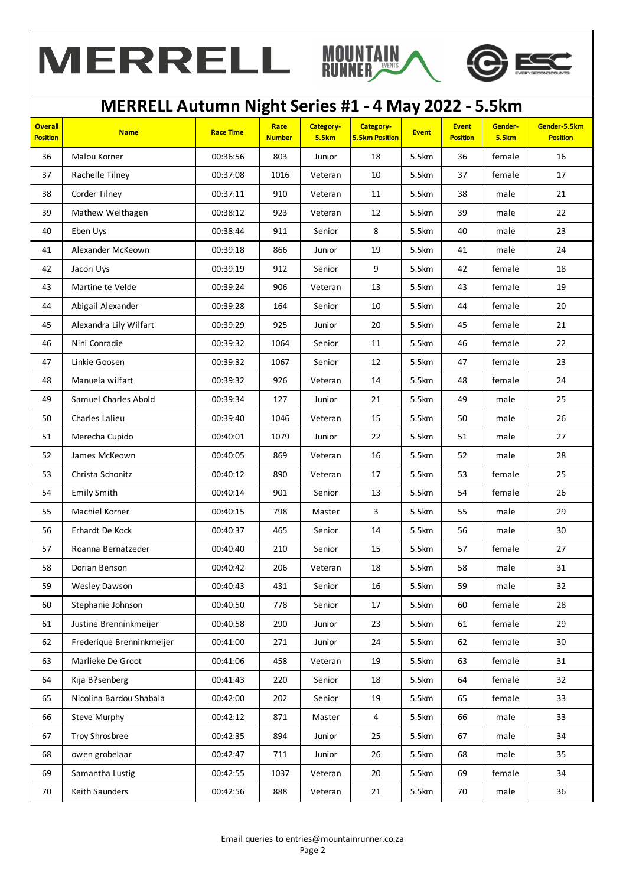





| <b>Overall</b><br>Category-<br>Category-<br><b>Event</b><br>Race<br>Gender-<br><b>Name</b><br><b>Race Time</b><br><b>Event</b><br><b>5.5km Position</b><br><b>5.5km</b><br><b>Position</b><br><b>Number</b><br><b>5.5km</b><br><b>Position</b><br>36<br>Malou Korner<br>00:36:56<br>803<br>5.5km<br>36<br>Junior<br>18<br>female<br>10<br>5.5km<br>female<br>37<br>Rachelle Tilney<br>00:37:08<br>1016<br>Veteran<br>37<br>38<br>Corder Tilney<br>910<br>00:37:11<br>11<br>5.5km<br>38<br>male<br>Veteran<br>39<br>Mathew Welthagen<br>12<br>5.5km<br>39<br>00:38:12<br>923<br>male<br>Veteran<br>8<br>40<br>40<br>Eben Uys<br>00:38:44<br>911<br>5.5km<br>Senior<br>male<br>41<br>Alexander McKeown<br>00:39:18<br>866<br>19<br>5.5km<br>41<br>Junior<br>male<br>42<br>00:39:19<br>912<br>9<br>5.5km<br>42<br>female<br>Jacori Uys<br>Senior<br>Martine te Velde<br>00:39:24<br>906<br>13<br>5.5km<br>43<br>female<br>43<br>Veteran<br>44<br>44<br>Abigail Alexander<br>00:39:28<br>164<br>10<br>5.5km<br>female<br>Senior | Gender-5.5km<br><b>Position</b><br>16<br>17<br>21<br>22<br>23<br>24<br>18<br>19 |
|-----------------------------------------------------------------------------------------------------------------------------------------------------------------------------------------------------------------------------------------------------------------------------------------------------------------------------------------------------------------------------------------------------------------------------------------------------------------------------------------------------------------------------------------------------------------------------------------------------------------------------------------------------------------------------------------------------------------------------------------------------------------------------------------------------------------------------------------------------------------------------------------------------------------------------------------------------------------------------------------------------------------------------|---------------------------------------------------------------------------------|
|                                                                                                                                                                                                                                                                                                                                                                                                                                                                                                                                                                                                                                                                                                                                                                                                                                                                                                                                                                                                                             |                                                                                 |
|                                                                                                                                                                                                                                                                                                                                                                                                                                                                                                                                                                                                                                                                                                                                                                                                                                                                                                                                                                                                                             |                                                                                 |
|                                                                                                                                                                                                                                                                                                                                                                                                                                                                                                                                                                                                                                                                                                                                                                                                                                                                                                                                                                                                                             |                                                                                 |
|                                                                                                                                                                                                                                                                                                                                                                                                                                                                                                                                                                                                                                                                                                                                                                                                                                                                                                                                                                                                                             |                                                                                 |
|                                                                                                                                                                                                                                                                                                                                                                                                                                                                                                                                                                                                                                                                                                                                                                                                                                                                                                                                                                                                                             |                                                                                 |
|                                                                                                                                                                                                                                                                                                                                                                                                                                                                                                                                                                                                                                                                                                                                                                                                                                                                                                                                                                                                                             |                                                                                 |
|                                                                                                                                                                                                                                                                                                                                                                                                                                                                                                                                                                                                                                                                                                                                                                                                                                                                                                                                                                                                                             |                                                                                 |
|                                                                                                                                                                                                                                                                                                                                                                                                                                                                                                                                                                                                                                                                                                                                                                                                                                                                                                                                                                                                                             |                                                                                 |
|                                                                                                                                                                                                                                                                                                                                                                                                                                                                                                                                                                                                                                                                                                                                                                                                                                                                                                                                                                                                                             |                                                                                 |
|                                                                                                                                                                                                                                                                                                                                                                                                                                                                                                                                                                                                                                                                                                                                                                                                                                                                                                                                                                                                                             | 20                                                                              |
| Alexandra Lily Wilfart<br>$20\,$<br>5.5km<br>00:39:29<br>925<br>45<br>female<br>45<br>Junior                                                                                                                                                                                                                                                                                                                                                                                                                                                                                                                                                                                                                                                                                                                                                                                                                                                                                                                                | 21                                                                              |
| 46<br>46<br>Nini Conradie<br>00:39:32<br>1064<br>11<br>5.5km<br>female<br>Senior                                                                                                                                                                                                                                                                                                                                                                                                                                                                                                                                                                                                                                                                                                                                                                                                                                                                                                                                            | 22                                                                              |
| 12<br>5.5km<br>47<br>47<br>Linkie Goosen<br>00:39:32<br>1067<br>Senior<br>female                                                                                                                                                                                                                                                                                                                                                                                                                                                                                                                                                                                                                                                                                                                                                                                                                                                                                                                                            | 23                                                                              |
| 48<br>48<br>Manuela wilfart<br>00:39:32<br>926<br>14<br>5.5km<br>female<br>Veteran                                                                                                                                                                                                                                                                                                                                                                                                                                                                                                                                                                                                                                                                                                                                                                                                                                                                                                                                          | 24                                                                              |
| 49<br>Samuel Charles Abold<br>00:39:34<br>127<br>21<br>5.5km<br>49<br>Junior<br>male                                                                                                                                                                                                                                                                                                                                                                                                                                                                                                                                                                                                                                                                                                                                                                                                                                                                                                                                        | 25                                                                              |
| 50<br>Charles Lalieu<br>00:39:40<br>1046<br>15<br>50<br>Veteran<br>5.5km<br>male                                                                                                                                                                                                                                                                                                                                                                                                                                                                                                                                                                                                                                                                                                                                                                                                                                                                                                                                            | 26                                                                              |
| Merecha Cupido<br>00:40:01<br>1079<br>22<br>5.5km<br>51<br>Junior<br>51<br>male                                                                                                                                                                                                                                                                                                                                                                                                                                                                                                                                                                                                                                                                                                                                                                                                                                                                                                                                             | 27                                                                              |
| 52<br>00:40:05<br>869<br>16<br>52<br>James McKeown<br>Veteran<br>5.5km<br>male                                                                                                                                                                                                                                                                                                                                                                                                                                                                                                                                                                                                                                                                                                                                                                                                                                                                                                                                              | 28                                                                              |
| 53<br>00:40:12<br>890<br>5.5km<br>female<br>Christa Schonitz<br>Veteran<br>17<br>53                                                                                                                                                                                                                                                                                                                                                                                                                                                                                                                                                                                                                                                                                                                                                                                                                                                                                                                                         | 25                                                                              |
| 54<br><b>Emily Smith</b><br>00:40:14<br>901<br>5.5km<br>54<br>female<br>Senior<br>13                                                                                                                                                                                                                                                                                                                                                                                                                                                                                                                                                                                                                                                                                                                                                                                                                                                                                                                                        | 26                                                                              |
| 55<br>Machiel Korner<br>00:40:15<br>798<br>3<br>5.5km<br>55<br>Master<br>male                                                                                                                                                                                                                                                                                                                                                                                                                                                                                                                                                                                                                                                                                                                                                                                                                                                                                                                                               | 29                                                                              |
| 00:40:37<br>465<br>5.5km<br>56<br>Erhardt De Kock<br>Senior<br>14<br>56<br>male                                                                                                                                                                                                                                                                                                                                                                                                                                                                                                                                                                                                                                                                                                                                                                                                                                                                                                                                             | 30                                                                              |
| 00:40:40<br>Senior<br>5.5km<br>female<br>57<br>Roanna Bernatzeder<br>210<br>15<br>57                                                                                                                                                                                                                                                                                                                                                                                                                                                                                                                                                                                                                                                                                                                                                                                                                                                                                                                                        | 27                                                                              |
| 58<br>00:40:42<br>206<br>5.5km<br>58<br>Dorian Benson<br>Veteran<br>18<br>male                                                                                                                                                                                                                                                                                                                                                                                                                                                                                                                                                                                                                                                                                                                                                                                                                                                                                                                                              | 31                                                                              |
| 5.5km<br>59<br>431<br>16<br>59<br>00:40:43<br>Senior<br>male<br>Wesley Dawson                                                                                                                                                                                                                                                                                                                                                                                                                                                                                                                                                                                                                                                                                                                                                                                                                                                                                                                                               | 32                                                                              |
| 00:40:50<br>60<br>Stephanie Johnson<br>778<br>Senior<br>17<br>5.5km<br>60<br>female                                                                                                                                                                                                                                                                                                                                                                                                                                                                                                                                                                                                                                                                                                                                                                                                                                                                                                                                         | 28                                                                              |
| Justine Brenninkmeijer<br>00:40:58<br>290<br>5.5km<br>female<br>61<br>Junior<br>23<br>61                                                                                                                                                                                                                                                                                                                                                                                                                                                                                                                                                                                                                                                                                                                                                                                                                                                                                                                                    | 29                                                                              |
| Frederique Brenninkmeijer<br>00:41:00<br>24<br>5.5km<br>female<br>62<br>271<br>Junior<br>62                                                                                                                                                                                                                                                                                                                                                                                                                                                                                                                                                                                                                                                                                                                                                                                                                                                                                                                                 | 30                                                                              |
| Marlieke De Groot<br>00:41:06<br>458<br>19<br>5.5km<br>female<br>63<br>Veteran<br>63                                                                                                                                                                                                                                                                                                                                                                                                                                                                                                                                                                                                                                                                                                                                                                                                                                                                                                                                        | 31                                                                              |
| Kija B?senberg<br>00:41:43<br>female<br>64<br>220<br>Senior<br>18<br>5.5km<br>64                                                                                                                                                                                                                                                                                                                                                                                                                                                                                                                                                                                                                                                                                                                                                                                                                                                                                                                                            | 32                                                                              |
| Nicolina Bardou Shabala<br>00:42:00<br>202<br>19<br>female<br>65<br>Senior<br>5.5km<br>65                                                                                                                                                                                                                                                                                                                                                                                                                                                                                                                                                                                                                                                                                                                                                                                                                                                                                                                                   | 33                                                                              |
| 66<br>Steve Murphy<br>00:42:12<br>871<br>4<br>5.5km<br>66<br>male<br>Master                                                                                                                                                                                                                                                                                                                                                                                                                                                                                                                                                                                                                                                                                                                                                                                                                                                                                                                                                 | 33                                                                              |
| 67<br>Troy Shrosbree<br>00:42:35<br>894<br>25<br>5.5km<br>67<br>Junior<br>male                                                                                                                                                                                                                                                                                                                                                                                                                                                                                                                                                                                                                                                                                                                                                                                                                                                                                                                                              | 34                                                                              |
| 68<br>owen grobelaar<br>00:42:47<br>711<br>26<br>5.5km<br>68<br>Junior<br>male                                                                                                                                                                                                                                                                                                                                                                                                                                                                                                                                                                                                                                                                                                                                                                                                                                                                                                                                              | 35                                                                              |
| 69<br>Samantha Lustig<br>00:42:55<br>1037<br>20<br>5.5km<br>69<br>female<br>Veteran                                                                                                                                                                                                                                                                                                                                                                                                                                                                                                                                                                                                                                                                                                                                                                                                                                                                                                                                         | 34                                                                              |
| Keith Saunders<br>5.5km<br>70<br>70<br>00:42:56<br>888<br>21<br>male<br>Veteran                                                                                                                                                                                                                                                                                                                                                                                                                                                                                                                                                                                                                                                                                                                                                                                                                                                                                                                                             | 36                                                                              |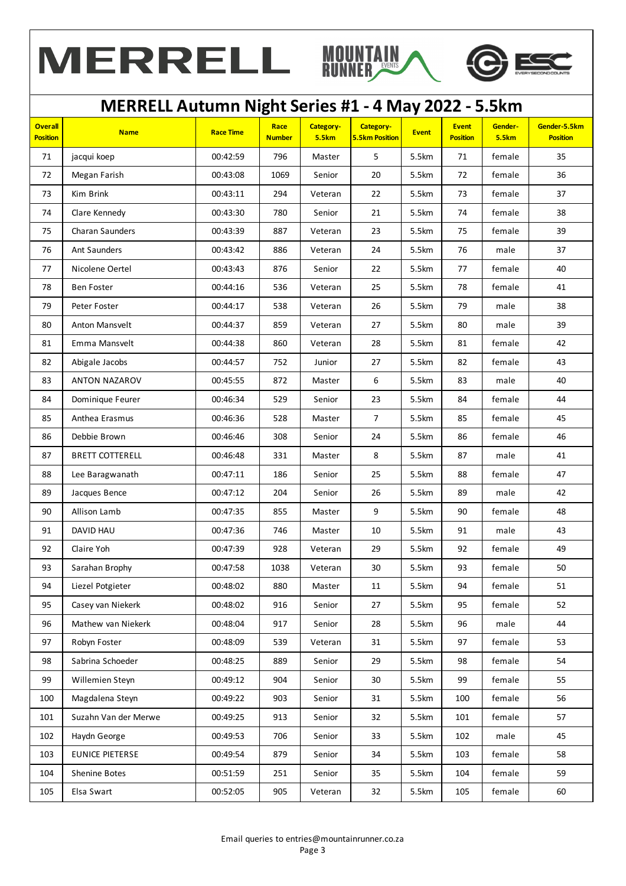





| <b>Overall</b><br><b>Position</b> | <b>Name</b>            | <b>Race Time</b> | Race<br><b>Number</b> | Category-<br><b>5.5km</b> | Category-<br><b>5.5km Position</b> | <b>Event</b> | <b>Event</b><br><b>Position</b> | Gender-<br><b>5.5km</b> | Gender-5.5km<br><b>Position</b> |
|-----------------------------------|------------------------|------------------|-----------------------|---------------------------|------------------------------------|--------------|---------------------------------|-------------------------|---------------------------------|
| 71                                | jacqui koep            | 00:42:59         | 796                   | Master                    | 5                                  | 5.5km        | 71                              | female                  | 35                              |
| 72                                | Megan Farish           | 00:43:08         | 1069                  | Senior                    | 20                                 | 5.5km        | 72                              | female                  | 36                              |
| 73                                | Kim Brink              | 00:43:11         | 294                   | Veteran                   | 22                                 | 5.5km        | 73                              | female                  | 37                              |
| 74                                | Clare Kennedy          | 00:43:30         | 780                   | Senior                    | 21                                 | 5.5km        | 74                              | female                  | 38                              |
| 75                                | Charan Saunders        | 00:43:39         | 887                   | Veteran                   | 23                                 | 5.5km        | 75                              | female                  | 39                              |
| 76                                | Ant Saunders           | 00:43:42         | 886                   | Veteran                   | 24                                 | 5.5km        | 76                              | male                    | 37                              |
| 77                                | Nicolene Oertel        | 00:43:43         | 876                   | Senior                    | 22                                 | 5.5km        | 77                              | female                  | 40                              |
| 78                                | <b>Ben Foster</b>      | 00:44:16         | 536                   | Veteran                   | 25                                 | 5.5km        | 78                              | female                  | 41                              |
| 79                                | Peter Foster           | 00:44:17         | 538                   | Veteran                   | 26                                 | 5.5km        | 79                              | male                    | 38                              |
| 80                                | Anton Mansvelt         | 00:44:37         | 859                   | Veteran                   | 27                                 | 5.5km        | 80                              | male                    | 39                              |
| 81                                | Emma Mansvelt          | 00:44:38         | 860                   | Veteran                   | 28                                 | 5.5km        | 81                              | female                  | 42                              |
| 82                                | Abigale Jacobs         | 00:44:57         | 752                   | Junior                    | 27                                 | 5.5km        | 82                              | female                  | 43                              |
| 83                                | ANTON NAZAROV          | 00:45:55         | 872                   | Master                    | $\boldsymbol{6}$                   | 5.5km        | 83                              | male                    | 40                              |
| 84                                | Dominique Feurer       | 00:46:34         | 529                   | Senior                    | 23                                 | 5.5km        | 84                              | female                  | 44                              |
| 85                                | Anthea Erasmus         | 00:46:36         | 528                   | Master                    | $\overline{7}$                     | 5.5km        | 85                              | female                  | 45                              |
| 86                                | Debbie Brown           | 00:46:46         | 308                   | Senior                    | 24                                 | 5.5km        | 86                              | female                  | 46                              |
| 87                                | <b>BRETT COTTERELL</b> | 00:46:48         | 331                   | Master                    | 8                                  | 5.5km        | 87                              | male                    | 41                              |
| 88                                | Lee Baragwanath        | 00:47:11         | 186                   | Senior                    | 25                                 | 5.5km        | 88                              | female                  | 47                              |
| 89                                | Jacques Bence          | 00:47:12         | 204                   | Senior                    | 26                                 | 5.5km        | 89                              | male                    | 42                              |
| 90                                | Allison Lamb           | 00:47:35         | 855                   | Master                    | 9                                  | 5.5km        | 90                              | female                  | 48                              |
| 91                                | DAVID HAU              | 00:47:36         | 746                   | Master                    | 10                                 | 5.5km        | 91                              | male                    | 43                              |
| 92                                | Claire Yoh             | 00:47:39         | 928                   | Veteran                   | 29                                 | 5.5km        | 92                              | female                  | 49                              |
| 93                                | Sarahan Brophy         | 00:47:58         | 1038                  | Veteran                   | $30\,$                             | 5.5km        | 93                              | female                  | 50                              |
| 94                                | Liezel Potgieter       | 00:48:02         | 880                   | Master                    | $11\,$                             | 5.5km        | 94                              | female                  | 51                              |
| 95                                | Casey van Niekerk      | 00:48:02         | 916                   | Senior                    | 27                                 | 5.5km        | 95                              | female                  | 52                              |
| 96                                | Mathew van Niekerk     | 00:48:04         | 917                   | Senior                    | 28                                 | 5.5km        | 96                              | male                    | 44                              |
| 97                                | Robyn Foster           | 00:48:09         | 539                   | Veteran                   | 31                                 | 5.5km        | 97                              | female                  | 53                              |
| 98                                | Sabrina Schoeder       | 00:48:25         | 889                   | Senior                    | 29                                 | 5.5km        | 98                              | female                  | 54                              |
| 99                                | Willemien Steyn        | 00:49:12         | 904                   | Senior                    | 30                                 | 5.5km        | 99                              | female                  | 55                              |
| 100                               | Magdalena Steyn        | 00:49:22         | 903                   | Senior                    | 31                                 | 5.5km        | 100                             | female                  | 56                              |
| 101                               | Suzahn Van der Merwe   | 00:49:25         | 913                   | Senior                    | 32                                 | 5.5km        | 101                             | female                  | 57                              |
| 102                               | Haydn George           | 00:49:53         | 706                   | Senior                    | 33                                 | 5.5km        | 102                             | male                    | 45                              |
| 103                               | EUNICE PIETERSE        | 00:49:54         | 879                   | Senior                    | 34                                 | 5.5km        | 103                             | female                  | 58                              |
| 104                               | Shenine Botes          | 00:51:59         | 251                   | Senior                    | 35                                 | 5.5km        | 104                             | female                  | 59                              |
| 105                               | Elsa Swart             | 00:52:05         | 905                   | Veteran                   | 32                                 | 5.5km        | 105                             | female                  | 60                              |
|                                   |                        |                  |                       |                           |                                    |              |                                 |                         |                                 |